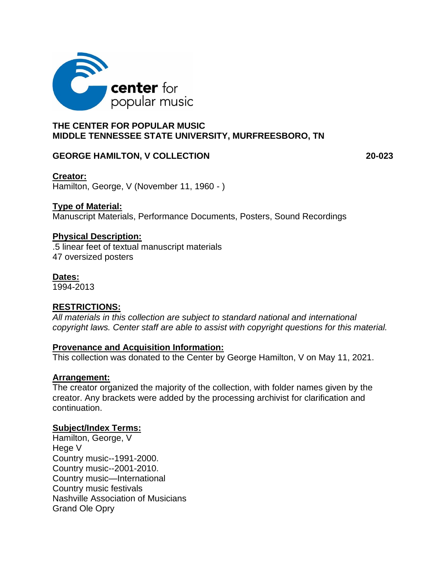

## **THE CENTER FOR POPULAR MUSIC MIDDLE TENNESSEE STATE UNIVERSITY, MURFREESBORO, TN**

### GEORGE HAMILTON, V COLLECTION **20-023**

## **Creator:**

Hamilton, George, V (November 11, 1960 - )

## **Type of Material:**

Manuscript Materials, Performance Documents, Posters, Sound Recordings

## **Physical Description:**

.5 linear feet of textual manuscript materials 47 oversized posters

## **Dates:**

1994-2013

## **RESTRICTIONS:**

*All materials in this collection are subject to standard national and international copyright laws. Center staff are able to assist with copyright questions for this material.* 

### **Provenance and Acquisition Information:**

This collection was donated to the Center by George Hamilton, V on May 11, 2021.

### **Arrangement:**

The creator organized the majority of the collection, with folder names given by the creator. Any brackets were added by the processing archivist for clarification and continuation.

### **Subject/Index Terms:**

Hamilton, George, V Hege V Country music--1991-2000. Country music--2001-2010. Country music—International Country music festivals Nashville Association of Musicians Grand Ole Opry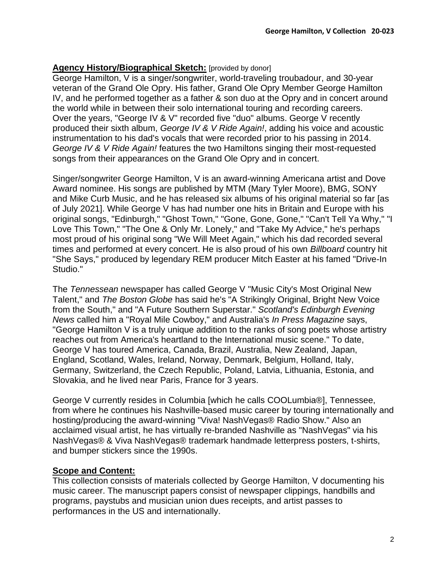# **Agency History/Biographical Sketch:** [provided by donor]

George Hamilton, V is a singer/songwriter, world-traveling troubadour, and 30-year veteran of the Grand Ole Opry. His father, Grand Ole Opry Member George Hamilton IV, and he performed together as a father & son duo at the Opry and in concert around the world while in between their solo international touring and recording careers. Over the years, "George IV & V" recorded five "duo" albums. George V recently produced their sixth album, *George IV & V Ride Again!*, adding his voice and acoustic instrumentation to his dad's vocals that were recorded prior to his passing in 2014. *George IV & V Ride Again!* features the two Hamiltons singing their most-requested songs from their appearances on the Grand Ole Opry and in concert.

Singer/songwriter George Hamilton, V is an award-winning Americana artist and Dove Award nominee. His songs are published by MTM (Mary Tyler Moore), BMG, SONY and Mike Curb Music, and he has released six albums of his original material so far [as of July 2021]. While George V has had number one hits in Britain and Europe with his original songs, "Edinburgh," "Ghost Town," "Gone, Gone, Gone," "Can't Tell Ya Why," "I Love This Town," "The One & Only Mr. Lonely," and "Take My Advice," he's perhaps most proud of his original song "We Will Meet Again," which his dad recorded several times and performed at every concert. He is also proud of his own *Billboard* country hit "She Says," produced by legendary REM producer Mitch Easter at his famed "Drive-In Studio."

The *Tennessean* newspaper has called George V "Music City's Most Original New Talent," and *The Boston Globe* has said he's "A Strikingly Original, Bright New Voice from the South," and "A Future Southern Superstar." *Scotland's Edinburgh Evening News* called him a "Royal Mile Cowboy," and Australia's *In Press Magazine* says, "George Hamilton V is a truly unique addition to the ranks of song poets whose artistry reaches out from America's heartland to the International music scene." To date, George V has toured America, Canada, Brazil, Australia, New Zealand, Japan, England, Scotland, Wales, Ireland, Norway, Denmark, Belgium, Holland, Italy, Germany, Switzerland, the Czech Republic, Poland, Latvia, Lithuania, Estonia, and Slovakia, and he lived near Paris, France for 3 years.

George V currently resides in Columbia [which he calls COOLumbia®], Tennessee, from where he continues his Nashville-based music career by touring internationally and hosting/producing the award-winning "Viva! NashVegas® Radio Show." Also an acclaimed visual artist, he has virtually re-branded Nashville as "NashVegas" via his NashVegas® & Viva NashVegas® trademark handmade letterpress posters, t-shirts, and bumper stickers since the 1990s.

# **Scope and Content:**

This collection consists of materials collected by George Hamilton, V documenting his music career. The manuscript papers consist of newspaper clippings, handbills and programs, paystubs and musician union dues receipts, and artist passes to performances in the US and internationally.